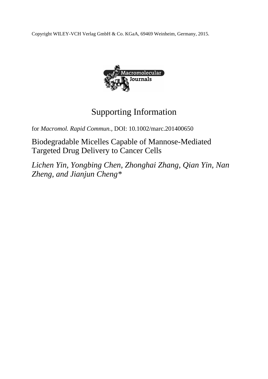Copyright WILEY-VCH Verlag GmbH & Co. KGaA, 69469 Weinheim, Germany, 2015.



## Supporting Information

for *Macromol. Rapid Commun.,* DOI: 10.1002/marc.201400650

Biodegradable Micelles Capable of Mannose-Mediated Targeted Drug Delivery to Cancer Cells

*Lichen Yin, Yongbing Chen, Zhonghai Zhang, Qian Yin, Nan Zheng, and Jianjun Cheng\**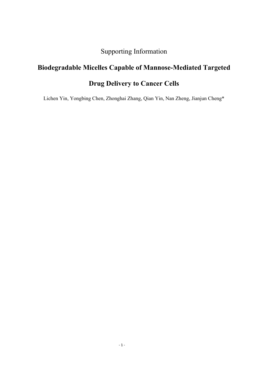Supporting Information

## **Biodegradable Micelles Capable of Mannose-Mediated Targeted Drug Delivery to Cancer Cells**

Lichen Yin, Yongbing Chen, Zhonghai Zhang, Qian Yin, Nan Zheng, Jianjun Cheng\*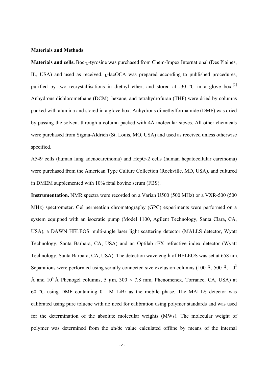## **Materials and Methods**

**Materials and cells.** Boc-<sub>L</sub>-tyrosine was purchased from Chem-Impex International (Des Plaines, IL, USA) and used as received.  $<sub>L</sub>$ -lacOCA was prepared according to published procedures,</sub> purified by two recrystallisations in diethyl ether, and stored at -30  $^{\circ}$ C in a glove box.<sup>[1]</sup> Anhydrous dichloromethane (DCM), hexane, and tetrahydrofuran (THF) were dried by columns packed with alumina and stored in a glove box. Anhydrous dimethylformamide (DMF) was dried by passing the solvent through a column packed with 4Å molecular sieves. All other chemicals were purchased from Sigma-Aldrich (St. Louis, MO, USA) and used as received unless otherwise specified.

A549 cells (human lung adenocarcinoma) and HepG-2 cells (human hepatocellular carcinoma) were purchased from the American Type Culture Collection (Rockville, MD, USA), and cultured in DMEM supplemented with 10% fetal bovine serum (FBS).

**Instrumentation.** NMR spectra were recorded on a Varian U500 (500 MHz) or a VXR-500 (500 MHz) spectrometer. Gel permeation chromatography (GPC) experiments were performed on a system equipped with an isocratic pump (Model 1100, Agilent Technology, Santa Clara, CA, USA), a DAWN HELEOS multi-angle laser light scattering detector (MALLS detector, Wyatt Technology, Santa Barbara, CA, USA) and an Optilab rEX refractive index detector (Wyatt Technology, Santa Barbara, CA, USA). The detection wavelength of HELEOS was set at 658 nm. Separations were performed using serially connected size exclusion columns (100 Å, 500 Å,  $10<sup>3</sup>$ ) Å and  $10^4$  Å Phenogel columns, 5 µm,  $300 \times 7.8$  mm, Phenomenex, Torrance, CA, USA) at 60 °C using DMF containing 0.1 M LiBr as the mobile phase. The MALLS detector was calibrated using pure toluene with no need for calibration using polymer standards and was used for the determination of the absolute molecular weights (MWs). The molecular weight of polymer was determined from the *d*n/*d*c value calculated offline by means of the internal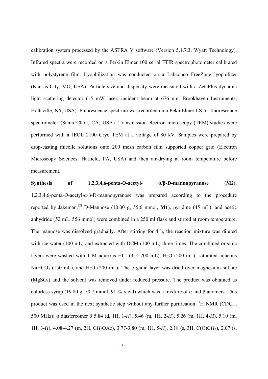calibration system processed by the ASTRA V software (Version 5.1.7.3, Wyatt Technology). Infrared spectra were recorded on a Perkin Elmer 100 serial FTIR spectrophotometer calibrated with polystyrene film. Lyophilization was conducted on a Labconco FreeZone lyophilizer (Kansas City, MO, USA). Particle size and dispersity were measured with a ZetaPlus dynamic light scattering detector (15 mW laser, incident beam at 676 nm, Brookhaven Instruments, Holtsville, NY, USA). Fluorescence spectrum was recorded on a PekinElmer LS 55 fluorescence spectrometer (Santa Clara, CA, USA). Transmission electron microscopy (TEM) studies were performed with a JEOL 2100 Cryo TEM at a voltage of 80 kV. Samples were prepared by drop-casting micelle solutions onto 200 mesh carbon film supported copper grid (Electron Microscopy Sciences, Hatfield, PA, USA) and then air-drying at room temperature before measurement.

**Synthesis of 1,2,3,4,6-penta-***O***-acetyl- α/β-D-mannopyranose (M2).**  1,2,3,4,6-penta-*O*-acetyl-α/β-D-mannopyranose was prepared according to the procedure reported by Jakeman.<sup>[2]</sup> D-Mannose (10.00 g, 55.6 mmol, **M1**), pyridine (45 mL), and acetic anhydride (52 mL, 556 mmol) were combined in a 250 ml flask and stirred at room temperature. The mannose was dissolved gradually. After stirring for 4 h, the reaction mixture was diluted with ice-water (100 mL) and extracted with DCM (100 mL) three times. The combined organic layers were washed with 1 M aqueous HCl  $(3 \times 200 \text{ mL})$ , H<sub>2</sub>O (200 mL), saturated aqueous NaHCO<sub>3</sub> (150 mL), and H<sub>2</sub>O (200 mL). The organic layer was dried over magnesium sulfate (MgSO4) and the solvent was removed under reduced pressure. The product was obtained as colorless syrup (19.80 g, 50.7 mmol, 91 % yield) which was a mixture of α and β anomers. This product was used in the next synthetic step without any further purification. <sup>1</sup>H NMR (CDCl<sub>3</sub>, 500 MHz): α diastereomer δ 5.84 (d, 1H, 1-*H*), 5.46 (m, 1H, 2-*H*), 5.26 (m, 1H, 4-*H*), 5.10 (m, 1H, 3-*H*), 4.08-4.27 (m, 2H, C*H*2OAc), 3.77-3.80 (m, 1H, 5-*H*), 2.18 (s, 3H, C(O)C*H*3), 2.07 (s,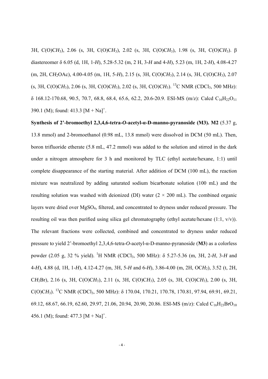3H, C(O)C*H*3), 2.06 (s, 3H, C(O)C*H*3), 2.02 (s, 3H, C(O)C*H*3), 1.98 (s, 3H, C(O)C*H*3). β diastereomer δ 6.05 (d, 1H, 1-*H*), 5.28-5.32 (m, 2 H, 3-*H* and 4-*H*), 5.23 (m, 1H, 2-*H*), 4.08-4.27 (m, 2H, C*H*2OAc), 4.00-4.05 (m, 1H, 5-*H*), 2.15 (s, 3H, C(O)C*H*3), 2.14 (s, 3H, C(O)C*H*3), 2.07  $(s, 3H, C(O)CH<sub>3</sub>), 2.06 (s, 3H, C(O)CH<sub>3</sub>), 2.02 (s, 3H, C(O)CH<sub>3</sub>).<sup>13</sup>C NMR (CDCl<sub>3</sub>, 500 MHz):$  $\delta$  168.12-170.68, 90.5, 70.7, 68.8, 68.4, 65.6, 62.2, 20.6-20.9. ESI-MS (m/z): Calcd C<sub>16</sub>H<sub>22</sub>O<sub>11</sub> 390.1 (M); found:  $413.3$  [M + Na]<sup>+</sup>.

**Synthesis of 2'-bromoethyl 2,3,4,6-tetra-***O***-acetyl-α-D-manno-pyranoside (M3). M2** (5.37 g, 13.8 mmol) and 2-bromoethanol (0.98 mL, 13.8 mmol) were dissolved in DCM (50 mL). Then, boron trifluoride etherate (5.8 mL, 47.2 mmol) was added to the solution and stirred in the dark under a nitrogen atmosphere for 3 h and monitored by TLC (ethyl acetate/hexane, 1:1) until complete disappearance of the starting material. After addition of DCM (100 mL), the reaction mixture was neutralized by adding saturated sodium bicarbonate solution (100 mL) and the resulting solution was washed with deionized (DI) water  $(2 \times 200 \text{ mL})$ . The combined organic layers were dried over MgSO4, filtered, and concentrated to dryness under reduced pressure. The resulting oil was then purified using silica gel chromatography (ethyl acetate/hexane (1:1, v/v)). The relevant fractions were collected, combined and concentrated to dryness under reduced pressure to yield 2'-bromoethyl 2,3,4,6-tetra-*O*-acetyl-α-D-manno-pyranoside (**M3**) as a colorless powder (2.05 g, 32 % yield). <sup>1</sup>H NMR (CDCl<sub>3</sub>, 500 MHz): δ 5.27-5.36 (m, 3H, 2-*H*, 3-*H* and 4-*H*), 4.88 (d, 1H, 1-*H*), 4.12-4.27 (m, 3H, 5-*H* and 6-*H*), 3.86-4.00 (m, 2H, OC*H*2), 3.52 (t, 2H, C*H*2Br), 2.16 (s, 3H, C(O)C*H*3), 2.11 (s, 3H, C(O)C*H*3), 2.05 (s, 3H, C(O)C*H*3), 2.00 (s, 3H, C(O)C*H*3). 13C NMR (CDCl3, 500 MHz): δ 170.04, 170.21, 170.78, 170.81, 97.94, 69.91, 69.21, 69.12, 68.67, 66.19, 62.60, 29.97, 21.06, 20.94, 20.90, 20.86. ESI-MS (m/z): Calcd C<sub>16</sub>H<sub>23</sub>BrO<sub>10</sub> 456.1 (M); found:  $477.3$  [M + Na]<sup>+</sup>.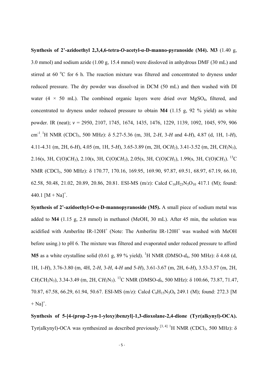**Synthesis of 2'-azidoethyl 2,3,4,6-tetra-***O***-acetyl-α-D-manno-pyranoside (M4). M3** (1.40 g, 3.0 mmol) and sodium azide (1.00 g, 15.4 mmol) were dissloved in anhydrous DMF (30 mL) and stirred at 60 °C for 6 h. The reaction mixture was filtered and concentrated to dryness under reduced pressure. The dry powder was dissolved in DCM (50 mL) and then washed with DI water (4  $\times$  50 mL). The combined organic layers were dried over MgSO<sub>4</sub>, filtered, and concentrated to dryness under reduced pressure to obtain **M4** (1.15 g, 92 % yield) as white powder. IR (neat); *v* = 2950, 2107, 1745, 1674, 1435, 1476, 1229, 1139, 1092, 1045, 979, 906 cm -1 . 1 H NMR (CDCl3, 500 MHz): δ 5.27-5.36 (m, 3H, 2-*H*, 3-*H* and 4-*H*), 4.87 (d, 1H, 1-*H*), 4.11-4.31 (m, 2H, 6-*H*), 4.05 (m, 1H, 5-*H*), 3.65-3.89 (m, 2H, OC*H*2), 3.41-3.52 (m, 2H, C*H*2N3), 2.16(s, 3H, C(O)C*H*3), 2.10(s, 3H, C(O)C*H*3), 2.05(s, 3H, C(O)C*H*3), 1.99(s, 3H, C(O)C*H*3). 13C NMR (CDCl<sub>3</sub>, 500 MHz): δ 170.77, 170.16, 169.95, 169.90, 97.87, 69.51, 68.97, 67.19, 66.10, 62.58, 50.48, 21.02, 20.89, 20.86, 20.81. ESI-MS (m/z): Calcd C<sub>16</sub>H<sub>23</sub>N<sub>3</sub>O<sub>10</sub> 417.1 (M); found: 440.1  $[M + Na]^{+}$ .

**Synthesis of 2'-azidoethyl-***O***-α-D-mannopyranoside (M5).** A small piece of sodium metal was added to **M4** (1.15 g, 2.8 mmol) in methanol (MeOH, 30 mL). After 45 min, the solution was acidified with Amberlite IR-120H<sup>+</sup> (Note: The Amberlite IR-120H<sup>+</sup> was washed with MeOH before using.) to pH 6. The mixture was filtered and evaporated under reduced pressure to afford **M5** as a white crystalline solid (0.61 g, 89 % yield). <sup>1</sup>H NMR (DMSO- $d_6$ , 500 MHz): δ 4.68 (d, 1H, 1-*H*), 3.76-3.80 (m, 4H, 2-*H*, 3-*H*, 4-*H* and 5-*H*), 3.61-3.67 (m, 2H, 6-*H*), 3.53-3.57 (m, 2H, C*H*2CH2N3), 3.34-3.49 (m, 2H, C*H*2N3). 13C NMR (DMSO-*d*6, 500 MHz): δ 100.66, 73.87, 71.47, 70.87, 67.58, 66.29, 61.94, 50.67. ESI-MS (m/z): Calcd C<sub>8</sub>H<sub>15</sub>N<sub>3</sub>O<sub>6</sub> 249.1 (M); found: 272.3 [M  $+$  Na]<sup>+</sup>.

**Synthesis of 5-[4-(prop-2-yn-1-yloxy)benzyl]-1,3-dioxolane-2,4-dione (Tyr(alkynyl)-OCA).** Tyr(alkynyl)-OCA was synthesized as described previously.<sup>[3, 4]</sup> <sup>1</sup>H NMR (CDCl<sub>3</sub>, 500 MHz):  $\delta$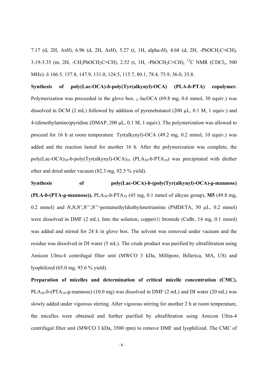7.17 (d, 2H, Ar*H*), 6.96 (d, 2H, Ar*H*), 5.27 (t, 1H, alpha-*H*), 4.68 (d, 2H, -PhOC*H*2C≡CH), 3.19-3.35 (m, 2H, -CH<sub>2</sub>PhOCH<sub>2</sub>C≡CH), 2.52 (t, 1H, -PhOCH<sub>2</sub>C≡CH), <sup>13</sup>C NMR (CDCl<sub>3</sub>, 500 MHz): δ 166.5, 157.8, 147.9, 131.0, 124.5, 115.7, 80.1, 78.4, 75.9, 56.0, 35.8.

**Synthesis of poly(Lac-OCA)-***b***-poly(Tyr(alkynyl)-OCA) (PLA-***b***-PTA) copolymer.**  Polymerization was proceeded in the glove box.  $_{L}$ -lacOCA (69.8 mg, 0.6 mmol, 30 equiv.) was dissolved in DCM (2 mL) followed by addition of pyrenebutanol (200 µL, 0.1 M, 1 equiv.) and 4-(dimethylamino)pyridine (DMAP, 200 μL, 0.1 M, 1 equiv). The polymerization was allowed to proceed for 16 h at room temperature. Tyr(alkynyl)-OCA (49.2 mg, 0.2 mmol, 10 equiv.) was added and the reaction lasted for another 16 h. After the polymerization was complete, the  $poly(Lac-OCA)_{30} - b$ -poly(Tyr(alkynyl)-OCA)<sub>10</sub> (PLA<sub>30</sub>-b-PTA<sub>10</sub>) was precipitated with diether ether and dried under vacuum (82.3 mg, 92.5 % yield).

**Synthesis of poly(Lac-OCA)-***b***-(poly(Tyr(alkynyl)-OCA)-***g***-mannose) (PLA-***b***-(PTA-***g***-mannose)).**  $PLA_{30}$ -*b*-PT $A_{10}$  (45 mg, 0.1 mmol of alkyne group), **M5** (49.8 mg, 0.2 mmol) and *N*,*N*,*N'*,*N''*,*N''*-pentamethyldiethylenetriamine (PMDETA, 50 µL, 0.2 mmol) were dissolved in DMF (2 mL). Into the solution, copper(I) bromide (CuBr, 14 mg, 0.1 mmol) was added and stirred for 24 h in glove box. The solvent was removed under vacuum and the residue was dissolved in DI water (5 mL). The crude product was purified by ultrafiltration using Amicon Ultra-4 centrifugal filter unit (MWCO 3 kDa, Millipore, Billerica, MA, US) and

lyophilized (65.0 mg, 93.6 % yield).

**Preparation of micelles and determination of critical micelle concentration (CMC).**  PLA<sub>30</sub>-b-(PTA<sub>10</sub>-g-mannose) (10.0 mg) was dissolved in DMF (2 mL) and DI water (20 mL) was slowly added under vigorous stirring. After vigorous stirring for another 2 h at room temperature, the micelles were obtained and further purified by ultrafiltration using Amicon Ultra-4 centrifugal filter unit (MWCO 3 kDa, 3500 rpm) to remove DMF and lyophilized. The CMC of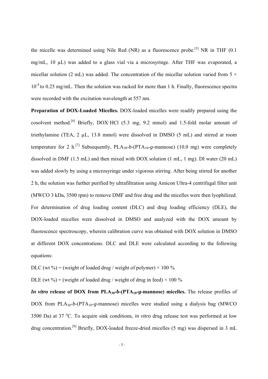the micelle was determined using Nile Red (NR) as a fluorescence probe.<sup>[5]</sup> NR in THF  $(0.1)$ mg/mL, 10 µL) was added to a glass vial via a microsyringe. After THF was evaporated, a micellar solution (2 mL) was added. The concentration of the micellar solution varied from  $5 \times$ 10<sup>-4</sup> to 0.25 mg/mL. Then the solution was racked for more than 1 h. Finally, fluorescence spectra were recorded with the excitation wavelength at 557 nm.

**Preparation of DOX-Loaded Micelles.** DOX-loaded micelles were readily prepared using the cosolvent method.<sup>[6]</sup> Briefly, DOX·HCl  $(5.3 \text{ mg}, 9.2 \text{ mmol})$  and 1.5-fold molar amount of triethylamine (TEA, 2 µL, 13.8 mmol) were dissolved in DMSO (5 mL) and stirred at room temperature for 2 h.<sup>[7]</sup> Subsequently, PLA<sub>30</sub>-b-(PTA<sub>10</sub>-g-mannose) (10.0 mg) were completely dissolved in DMF (1.5 mL) and then mixed with DOX solution (1 mL, 1 mg). DI water (20 mL) was added slowly by using a microsyringe under vigorous stirring. After being stirred for another 2 h, the solution was further purified by ultrafiltration using Amicon Ultra-4 centrifugal filter unit (MWCO 3 kDa, 3500 rpm) to remove DMF and free drug and the micelles were then lyophilized. For determination of drug loading content (DLC) and drug loading efficiency (DLE), the DOX-loaded micelles were dissolved in DMSO and analyzed with the DOX amount by fluorescence spectroscopy, wherein calibration curve was obtained with DOX solution in DMSO at different DOX concentrations. DLC and DLE were calculated according to the following equations:

DLC (wt %) = (weight of loaded drug / weight of polymer)  $\times$  100 %

DLE (wt %) = (weight of loaded drug / weight of drug in feed)  $\times$  100 %

*In vitro* release of DOX from PLA<sub>30</sub>-*b*-(PTA<sub>10</sub>-*g***-mannose)** micelles. The release profiles of DOX from PLA30-*b*-(PTA10-*g*-mannose) micelles were studied using a dialysis bag (MWCO 3500 Da) at 37 °C. To acquire sink conditions, *in vitro* drug release test was performed at low drug concentration.[8] Briefly, DOX-loaded freeze-dried micelles (5 mg) was dispersed in 3 mL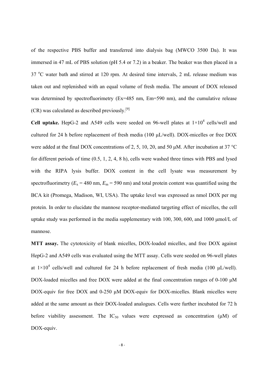of the respective PBS buffer and transferred into dialysis bag (MWCO 3500 Da). It was immersed in 47 mL of PBS solution (pH 5.4 or 7.2) in a beaker. The beaker was then placed in a 37 °C water bath and stirred at 120 rpm. At desired time intervals, 2 mL release medium was taken out and replenished with an equal volume of fresh media. The amount of DOX released was determined by spectrofluorimetry (Ex=485 nm, Em=590 nm), and the cumulative release  $(CR)$  was calculated as described previously.<sup>[9]</sup>

Cell uptake. HepG-2 and A549 cells were seeded on 96-well plates at  $1\times10^4$  cells/well and cultured for 24 h before replacement of fresh media (100 μL/well). DOX-micelles or free DOX were added at the final DOX concentrations of 2, 5, 10, 20, and 50 μM. After incubation at 37 °C for different periods of time (0.5, 1, 2, 4, 8 h), cells were washed three times with PBS and lysed with the RIPA lysis buffer. DOX content in the cell lysate was measurement by spectrofluorimetry ( $E_x$  = 480 nm,  $E_m$  = 590 nm) and total protein content was quantified using the BCA kit (Promega, Madison, WI, USA). The uptake level was expressed as nmol DOX per mg protein. In order to elucidate the mannose receptor-mediated targeting effect of micelles, the cell uptake study was performed in the media supplementary with 100, 300, 600, and 1000 μmol/L of mannose.

**MTT assay.** The cytotoxicity of blank micelles, DOX-loaded micelles, and free DOX against HepG-2 and A549 cells was evaluated using the MTT assay. Cells were seeded on 96-well plates at  $1 \times 10^4$  cells/well and cultured for 24 h before replacement of fresh media (100  $\mu$ L/well). DOX-loaded micelles and free DOX were added at the final concentration ranges of 0-100 μM DOX-equiv for free DOX and 0-250 μM DOX-equiv for DOX-micelles. Blank micelles were added at the same amount as their DOX-loaded analogues. Cells were further incubated for 72 h before viability assessment. The  $IC_{50}$  values were expressed as concentration ( $\mu$ M) of DOX-equiv.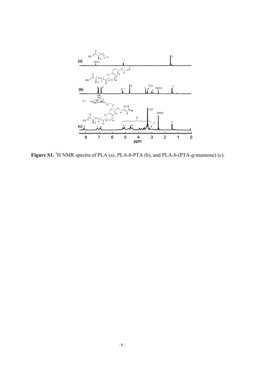

Figure S1. <sup>1</sup>H NMR spectra of PLA (a), PLA-*b*-PTA (b), and PLA-*b*-(PTA-*g*-mannose) (c).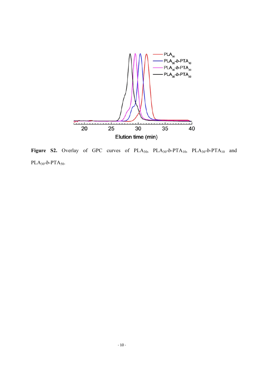

Figure S2. Overlay of GPC curves of PLA<sub>30</sub>, PLA<sub>30</sub>-b-PTA<sub>10</sub>, PLA<sub>30</sub>-b-PTA<sub>10</sub> and  $PLA_{30} - b - PTA_{50}$ .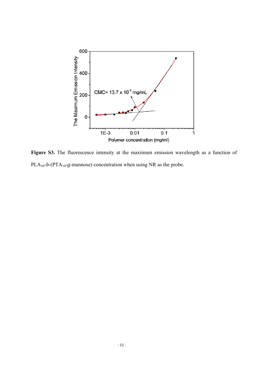

Figure S3. The fluorescence intensity at the maximum emission wavelength as a function of PLA30-*b*-(PTA10-*g*-mannose) concentration when using NR as the probe.